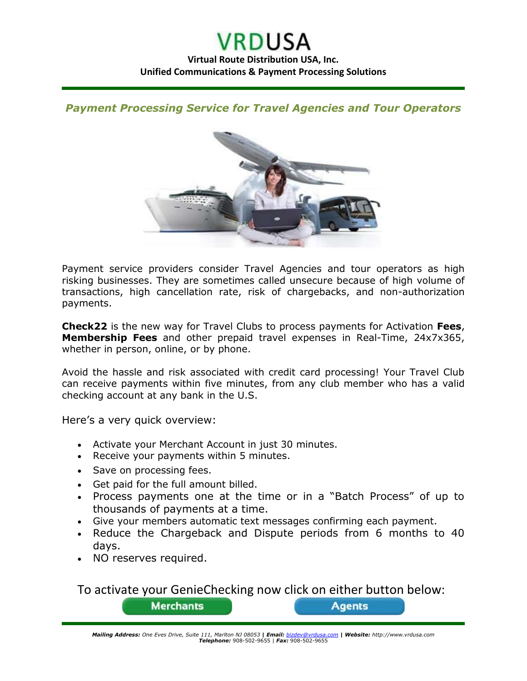*Payment Processing Service for Travel Agencies and Tour Operators*



Payment service providers consider Travel Agencies and tour operators as high risking businesses. They are sometimes called unsecure because of high volume of transactions, high cancellation rate, risk of chargebacks, and non-authorization payments.

**Check22** is the new way for Travel Clubs to process payments for Activation **Fees**, **Membership Fees** and other prepaid travel expenses in Real-Time, 24x7x365, whether in person, online, or by phone.

Avoid the hassle and risk associated with credit card processing! Your Travel Club can receive payments within five minutes, from any club member who has a valid checking account at any bank in the U.S.

Here's a very quick overview:

- Activate your Merchant Account in just 30 minutes.
- Receive your payments within 5 minutes.
- Save on processing fees.
- Get paid for the full amount billed.

**Merchants** 

- Process payments one at the time or in a "Batch Process" of up to thousands of payments at a time.
- Give your members automatic text messages confirming each payment.
- Reduce the Chargeback and Dispute periods from 6 months to 40 days.
- NO reserves required.

To activate your GenieChecking now click on either button below:

**Agents** 

*Mailing Address: One Eves Drive, Suite 111, Marlton NJ 08053* **|** *Email: [bizdev@vrdusa.com](mailto:bizdev@vrdusa.com)* **|** *Website: http://www.vrdusa.com Telephone:* 908-502-9655 | *Fax:* 908-502-9655